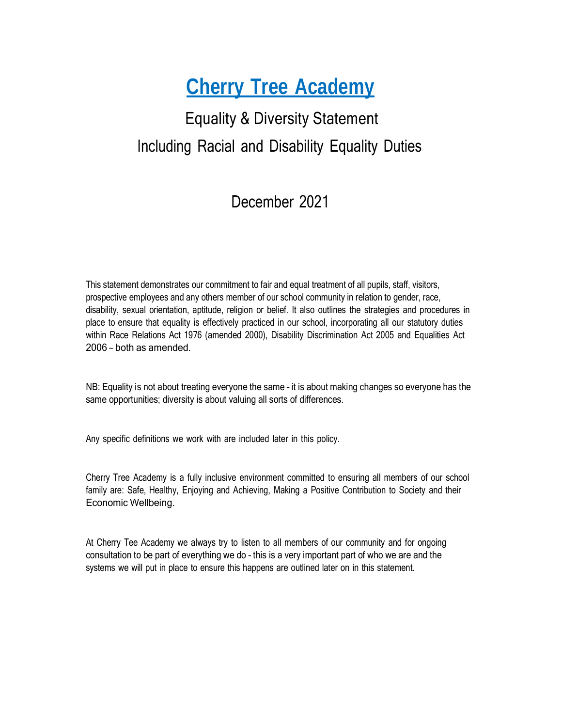# **Cherry Tree Academy**

# Equality & Diversity Statement Including Racial and Disability Equality Duties

## December 2021

This statement demonstrates our commitment to fair and equal treatment of all pupils, staff, visitors, prospective employees and any others member of our school community in relation to gender, race, disability, sexual orientation, aptitude, religion or belief. It also outlines the strategies and procedures in place to ensure that equality is effectively practiced in our school, incorporating all our statutory duties within Race Relations Act 1976 (amended 2000), Disability Discrimination Act 2005 and Equalities Act 2006 – both as amended.

NB: Equality is not about treating everyone the same – it is about making changes so everyone has the same opportunities; diversity is about valuing all sorts of differences.

Any specific definitions we work with are included later in this policy.

Cherry Tree Academy is a fully inclusive environment committed to ensuring all members of our school family are: Safe, Healthy, Enjoying and Achieving, Making a Positive Contribution to Society and their Economic Wellbeing.

At Cherry Tee Academy we always try to listen to all members of our community and for ongoing consultation to be part of everything we do – this is a very important part of who we are and the systems we will put in place to ensure this happens are outlined later on in this statement.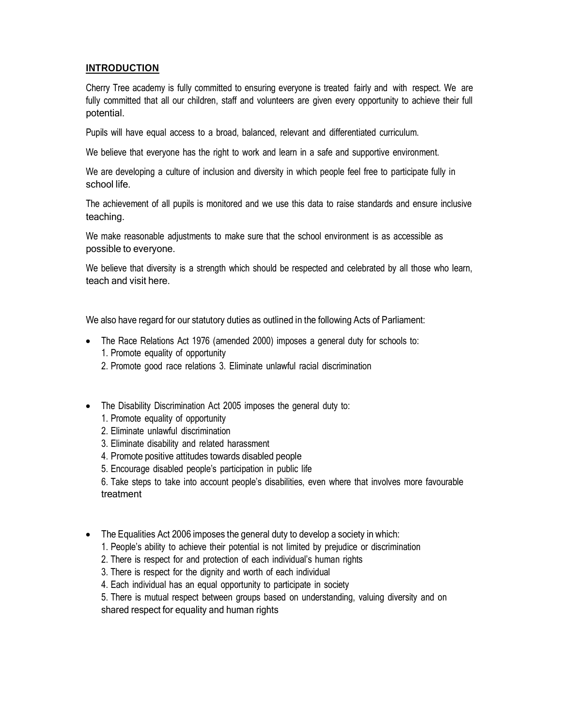### **INTRODUCTION**

Cherry Tree academy is fully committed to ensuring everyone is treated fairly and with respect. We are fully committed that all our children, staff and volunteers are given every opportunity to achieve their full potential.

Pupils will have equal access to a broad, balanced, relevant and differentiated curriculum.

We believe that everyone has the right to work and learn in a safe and supportive environment.

We are developing a culture of inclusion and diversity in which people feel free to participate fully in school life.

The achievement of all pupils is monitored and we use this data to raise standards and ensure inclusive teaching.

We make reasonable adjustments to make sure that the school environment is as accessible as possible to everyone.

We believe that diversity is a strength which should be respected and celebrated by all those who learn, teach and visit here.

We also have regard for our statutory duties as outlined in the following Acts of Parliament:

- The Race Relations Act 1976 (amended 2000) imposes a general duty for schools to:
	- 1. Promote equality of opportunity
	- 2. Promote good race relations 3. Eliminate unlawful racial discrimination
- The Disability Discrimination Act 2005 imposes the general duty to:
	- 1. Promote equality of opportunity
	- 2. Eliminate unlawful discrimination
	- 3. Eliminate disability and related harassment
	- 4. Promote positive attitudes towards disabled people
	- 5. Encourage disabled people's participation in public life

6. Take steps to take into account people's disabilities, even where that involves more favourable treatment

- The Equalities Act 2006 imposes the general duty to develop a society in which:
	- 1. People's ability to achieve their potential is not limited by prejudice or discrimination
	- 2. There is respect for and protection of each individual's human rights
	- 3. There is respect for the dignity and worth of each individual
	- 4. Each individual has an equal opportunity to participate in society

5. There is mutual respect between groups based on understanding, valuing diversity and on shared respect for equality and human rights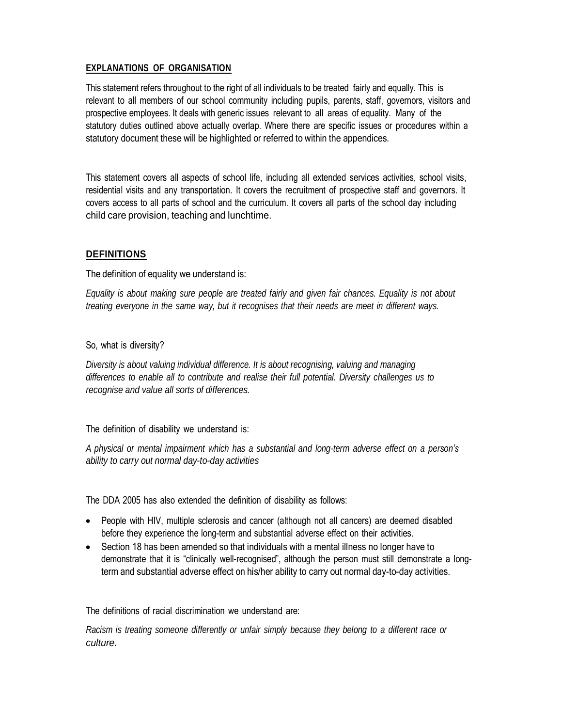#### **EXPLANATIONS OF ORGANISATION**

This statement refers throughout to the right of all individuals to be treated fairly and equally. This is relevant to all members of our school community including pupils, parents, staff, governors, visitors and prospective employees. It deals with generic issues relevant to all areas of equality. Many of the statutory duties outlined above actually overlap. Where there are specific issues or procedures within a statutory document these will be highlighted or referred to within the appendices.

This statement covers all aspects of school life, including all extended services activities, school visits, residential visits and any transportation. It covers the recruitment of prospective staff and governors. It covers access to all parts of school and the curriculum. It covers all parts of the school day including child care provision, teaching and lunchtime.

### **DEFINITIONS**

The definition of equality we understand is:

*Equality is about making sure people are treated fairly and given fair chances. Equality is not about treating everyone in the same way, but it recognises that their needs are meet in different ways.*

#### So, what is diversity?

*Diversity is about valuing individual difference. It is about recognising, valuing and managing differences to enable all to contribute and realise their full potential. Diversity challenges us to recognise and value all sorts of differences.*

The definition of disability we understand is:

*A physical or mental impairment which has a substantial and long-term adverse effect on a person's ability to carry out normal day-to-day activities*

The DDA 2005 has also extended the definition of disability as follows:

- People with HIV, multiple sclerosis and cancer (although not all cancers) are deemed disabled before they experience the long-term and substantial adverse effect on their activities.
- Section 18 has been amended so that individuals with a mental illness no longer have to demonstrate that it is "clinically well-recognised", although the person must still demonstrate a longterm and substantial adverse effect on his/her ability to carry out normal day-to-day activities.

The definitions of racial discrimination we understand are:

*Racism is treating someone differently or unfair simply because they belong to a different race or culture.*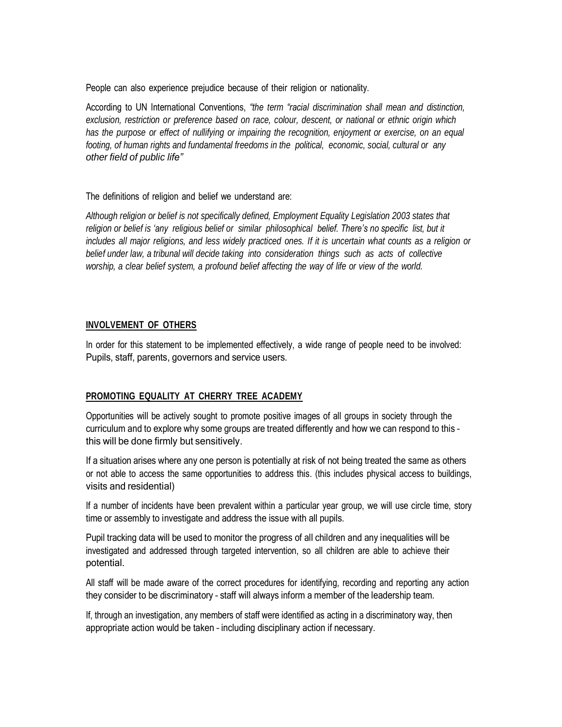People can also experience prejudice because of their religion or nationality.

According to UN International Conventions, *"the term "racial discrimination shall mean and distinction, exclusion, restriction or preference based on race, colour, descent, or national or ethnic origin which has the purpose or effect of nullifying or impairing the recognition, enjoyment or exercise, on an equal footing, of human rights and fundamental freedoms in the political, economic, social, cultural or any other field of public life"*

The definitions of religion and belief we understand are:

*Although religion or belief is not specifically defined, Employment Equality Legislation 2003 states that religion or belief is 'any religious belief or similar philosophical belief. There's no specific list, but it* includes all major religions, and less widely practiced ones. If it is uncertain what counts as a religion or *belief under law, a tribunal will decide taking into consideration things such as acts of collective worship, a clear belief system, a profound belief affecting the way of life or view of the world.*

#### **INVOLVEMENT OF OTHERS**

In order for this statement to be implemented effectively, a wide range of people need to be involved: Pupils, staff, parents, governors and service users.

#### **PROMOTING EQUALITY AT CHERRY TREE ACADEMY**

Opportunities will be actively sought to promote positive images of all groups in society through the curriculum and to explore why some groups are treated differently and how we can respond to this – this will be done firmly but sensitively.

If a situation arises where any one person is potentially at risk of not being treated the same as others or not able to access the same opportunities to address this. (this includes physical access to buildings, visits and residential)

If a number of incidents have been prevalent within a particular year group, we will use circle time, story time or assembly to investigate and address the issue with all pupils.

Pupil tracking data will be used to monitor the progress of all children and any inequalities will be investigated and addressed through targeted intervention, so all children are able to achieve their potential.

All staff will be made aware of the correct procedures for identifying, recording and reporting any action they consider to be discriminatory – staff will always inform a member of the leadership team.

If, through an investigation, any members of staff were identified as acting in a discriminatory way, then appropriate action would be taken – including disciplinary action if necessary.